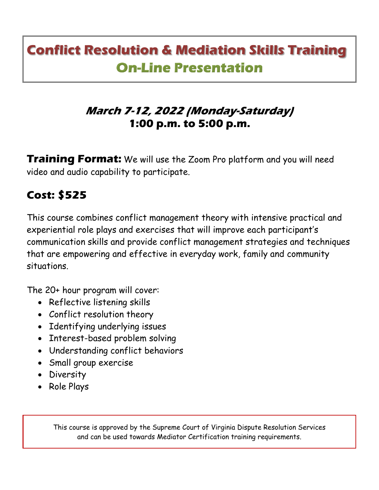# **Conflict Resolution & Mediation Skills Training On-Line Presentation**

### **March 7-12, 2022 (Monday-Saturday) 1:00 p.m. to 5:00 p.m.**

**Training Format:** We will use the Zoom Pro platform and you will need video and audio capability to participate.

## **Cost: \$525**

This course combines conflict management theory with intensive practical and experiential role plays and exercises that will improve each participant's communication skills and provide conflict management strategies and techniques that are empowering and effective in everyday work, family and community situations.

The 20+ hour program will cover:

- Reflective listening skills
- Conflict resolution theory
- Identifying underlying issues
- Interest-based problem solving
- Understanding conflict behaviors
- Small group exercise
- Diversity
- Role Plays

This course is approved by the Supreme Court of Virginia Dispute Resolution Services and can be used towards Mediator Certification training requirements.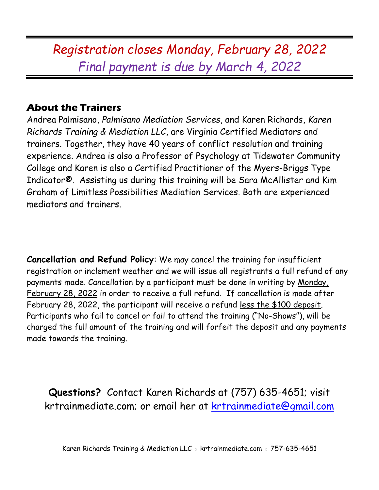## *Registration closes Monday, February 28, 2022 Final payment is due by March 4, 2022*

#### **About the Trainers**

Andrea Palmisano, *Palmisano Mediation Services*, and Karen Richards, *Karen Richards Training & Mediation LLC*, are Virginia Certified Mediators and trainers. Together, they have 40 years of conflict resolution and training experience. Andrea is also a Professor of Psychology at Tidewater Community College and Karen is also a Certified Practitioner of the Myers-Briggs Type Indicator®. Assisting us during this training will be Sara McAllister and Kim Graham of Limitless Possibilities Mediation Services. Both are experienced mediators and trainers.

**Cancellation and Refund Policy**: We may cancel the training for insufficient registration or inclement weather and we will issue all registrants a full refund of any payments made. Cancellation by a participant must be done in writing by Monday, February 28, 2022 in order to receive a full refund. If cancellation is made after February 28, 2022, the participant will receive a refund less the \$100 deposit. Participants who fail to cancel or fail to attend the training ("No-Shows"), will be charged the full amount of the training and will forfeit the deposit and any payments made towards the training.

**Questions?** Contact Karen Richards at (757) 635-4651; visit krtrainmediate.com; or email her at [krtrainmediate@gmail.com](mailto:krtrainmediate@gmail.com)